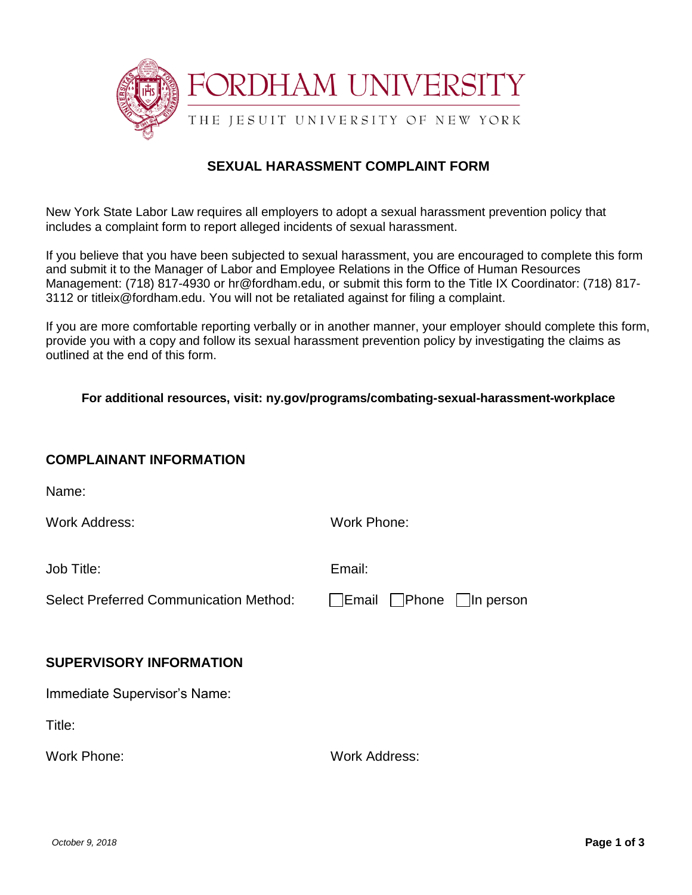

# **SEXUAL HARASSMENT COMPLAINT FORM**

New York State Labor Law requires all employers to adopt a sexual harassment prevention policy that includes a complaint form to report alleged incidents of sexual harassment.

If you believe that you have been subjected to sexual harassment, you are encouraged to complete this form and submit it to the Manager of Labor and Employee Relations in the Office of Human Resources Management: (718) 817-4930 or hr@fordham.edu, or submit this form to the Title IX Coordinator: (718) 817- 3112 or titleix@fordham.edu. You will not be retaliated against for filing a complaint.

If you are more comfortable reporting verbally or in another manner, your employer should complete this form, provide you with a copy and follow its sexual harassment prevention policy by investigating the claims as outlined at the end of this form.

#### **For additional resources, visit: ny.gov/programs/combating-sexual-harassment-workplace**

#### **COMPLAINANT INFORMATION**

Name:

Work Address: Work Phone:

Job Title: Email:

Select Preferred Communication Method: Email Phone In person

## **SUPERVISORY INFORMATION**

Immediate Supervisor's Name:

Title:

Work Phone: Work Address: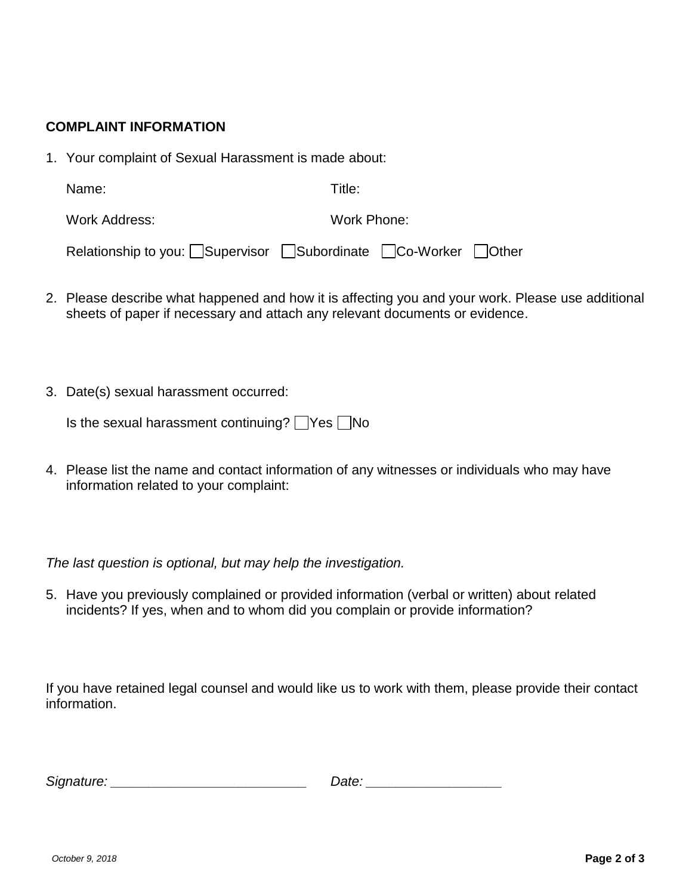## **COMPLAINT INFORMATION**

1. Your complaint of Sexual Harassment is made about:

| Name: | Title: |
|-------|--------|
|       |        |

Work Address: Work Phone:

| Relationship to you: Supervisor Subordinate CCo-Worker Other |  |  |  |
|--------------------------------------------------------------|--|--|--|
|--------------------------------------------------------------|--|--|--|

- 2. Please describe what happened and how it is affecting you and your work. Please use additional sheets of paper if necessary and attach any relevant documents or evidence.
- 3. Date(s) sexual harassment occurred:

| Is the sexual harassment continuing? △Yes △No |  |  |  |
|-----------------------------------------------|--|--|--|
|-----------------------------------------------|--|--|--|

4. Please list the name and contact information of any witnesses or individuals who may have information related to your complaint:

*The last question is optional, but may help the investigation.*

5. Have you previously complained or provided information (verbal or written) about related incidents? If yes, when and to whom did you complain or provide information?

If you have retained legal counsel and would like us to work with them, please provide their contact information.

| Signature: | Date |
|------------|------|
|            |      |